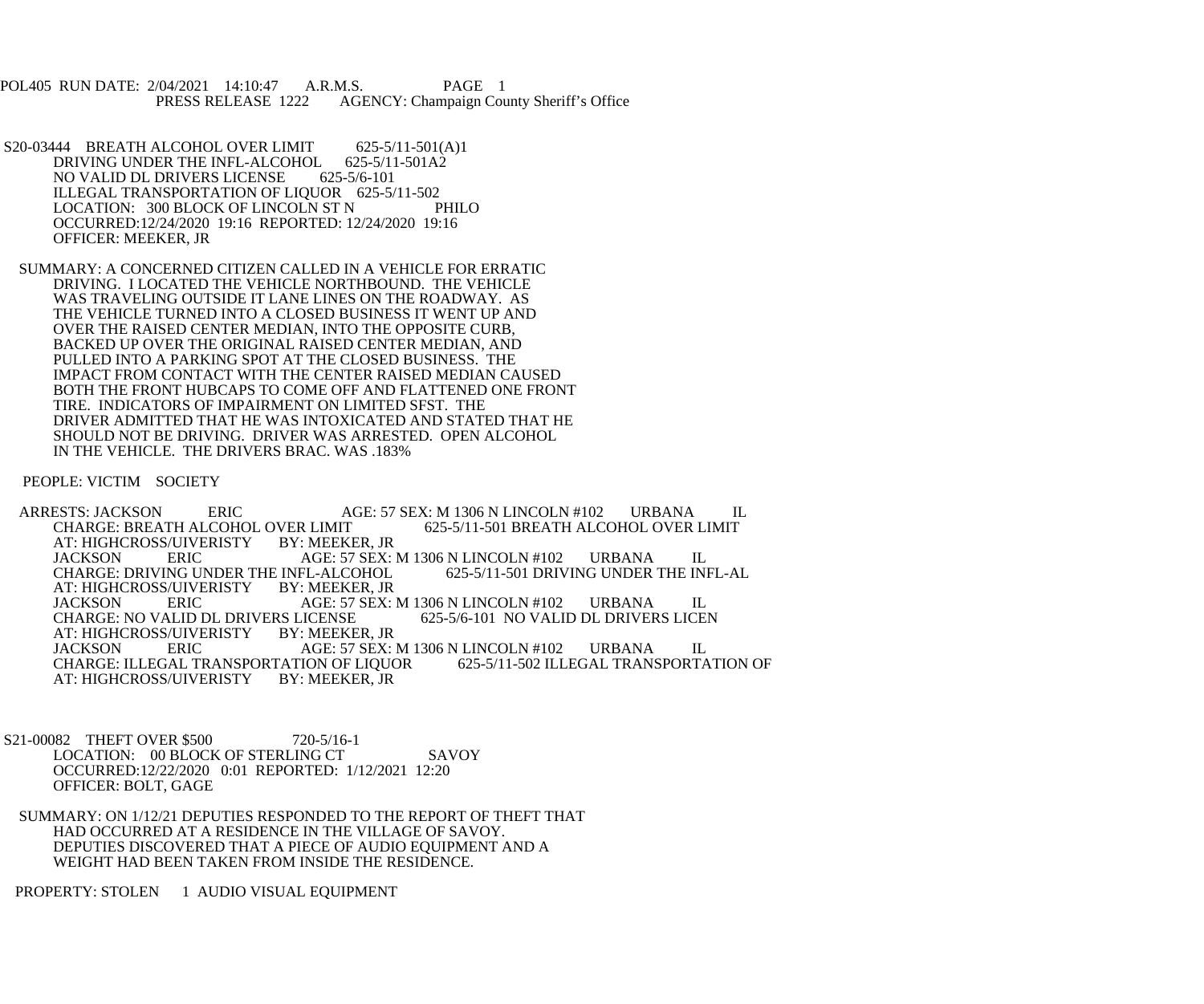POL405 RUN DATE: 2/04/2021 14:10:47 A.R.M.S. PAGE 1<br>PRESS RELEASE 1222 AGENCY: Champaign Cou AGENCY: Champaign County Sheriff's Office

S20-03444 BREATH ALCOHOL OVER LIMIT 625-5/11-501(A)1<br>DRIVING UNDER THE INFL-ALCOHOL 625-5/11-501A2 DRIVING UNDER THE INFL-ALCOHOL NO VALID DL DRIVERS LICENSE 625-5/6-101 ILLEGAL TRANSPORTATION OF LIQUOR 625-5/11-502<br>LOCATION: 300 BLOCK OF LINCOLN ST N PHILO LOCATION: 300 BLOCK OF LINCOLN ST N OCCURRED:12/24/2020 19:16 REPORTED: 12/24/2020 19:16 OFFICER: MEEKER, JR

 SUMMARY: A CONCERNED CITIZEN CALLED IN A VEHICLE FOR ERRATIC DRIVING. I LOCATED THE VEHICLE NORTHBOUND. THE VEHICLE WAS TRAVELING OUTSIDE IT LANE LINES ON THE ROADWAY. AS THE VEHICLE TURNED INTO A CLOSED BUSINESS IT WENT UP AND OVER THE RAISED CENTER MEDIAN, INTO THE OPPOSITE CURB, BACKED UP OVER THE ORIGINAL RAISED CENTER MEDIAN, AND PULLED INTO A PARKING SPOT AT THE CLOSED BUSINESS. THE IMPACT FROM CONTACT WITH THE CENTER RAISED MEDIAN CAUSED BOTH THE FRONT HUBCAPS TO COME OFF AND FLATTENED ONE FRONT TIRE. INDICATORS OF IMPAIRMENT ON LIMITED SFST. THE DRIVER ADMITTED THAT HE WAS INTOXICATED AND STATED THAT HE SHOULD NOT BE DRIVING. DRIVER WAS ARRESTED. OPEN ALCOHOL IN THE VEHICLE. THE DRIVERS BRAC. WAS .183%

PEOPLE: VICTIM SOCIETY

ARRESTS: JACKSON ERIC AGE: 57 SEX: M 1306 N LINCOLN #102 URBANA IL CHARGE: BREATH ALCOHOL OVER LIMIT 625-5/11-501 BREATH ALCOHOL OVER LIMIT VER LIMIT 625-5/11-501 BREATH ALCOHOL OVER LIMIT BY: MEEKER, JR AT: HIGHCROSS/UIVERISTY BY: MEEKER, JR AGE: 57 SEX: M 1306 N LINCOLN #102 URBANA IL<br>FL-ALCOHOL 625-5/11-501 DRIVING UNDER THE INFL-AL CHARGE: DRIVING UNDER THE INFL-ALCOHOL<br>AT: HIGHCROSS/UIVERISTY BY: MEEKER, JR AT: HIGHCROSS/UIVERISTY JACKSON ERIC AGE: 57 SEX: M 1306 N LINCOLN #102 URBANA IL<br>CHARGE: NO VALID DL DRIVERS LICENSE 625-5/6-101 NO VALID DL DRIVERS LICEN CHARGE: NO VALID DL DRIVERS LICENSE<br>AT: HIGHCROSS/UIVERISTY BY: MEEKER, JR AT: HIGHCROSS/UIVERISTY BY: MEEKER, JR AGE: 57 SEX: M 1306 N LINCOLN #102 URBANA IL<br>JON OF LIQUOR 625-5/11-502 ILLEGAL TRANSPORTATION OF CHARGE: ILLEGAL TRANSPORTATION OF LIQUOR<br>AT: HIGHCROSS/UIVERISTY BY: MEEKER, JR AT: HIGHCROSS/UIVERISTY

S21-00082 THEFT OVER \$500 720-5/16-1 LOCATION: 00 BLOCK OF STERLING CT SAVOY OCCURRED:12/22/2020 0:01 REPORTED: 1/12/2021 12:20 OFFICER: BOLT, GAGE

 SUMMARY: ON 1/12/21 DEPUTIES RESPONDED TO THE REPORT OF THEFT THAT HAD OCCURRED AT A RESIDENCE IN THE VILLAGE OF SAVOY. DEPUTIES DISCOVERED THAT A PIECE OF AUDIO EQUIPMENT AND A WEIGHT HAD BEEN TAKEN FROM INSIDE THE RESIDENCE.

PROPERTY: STOLEN 1 AUDIO VISUAL EQUIPMENT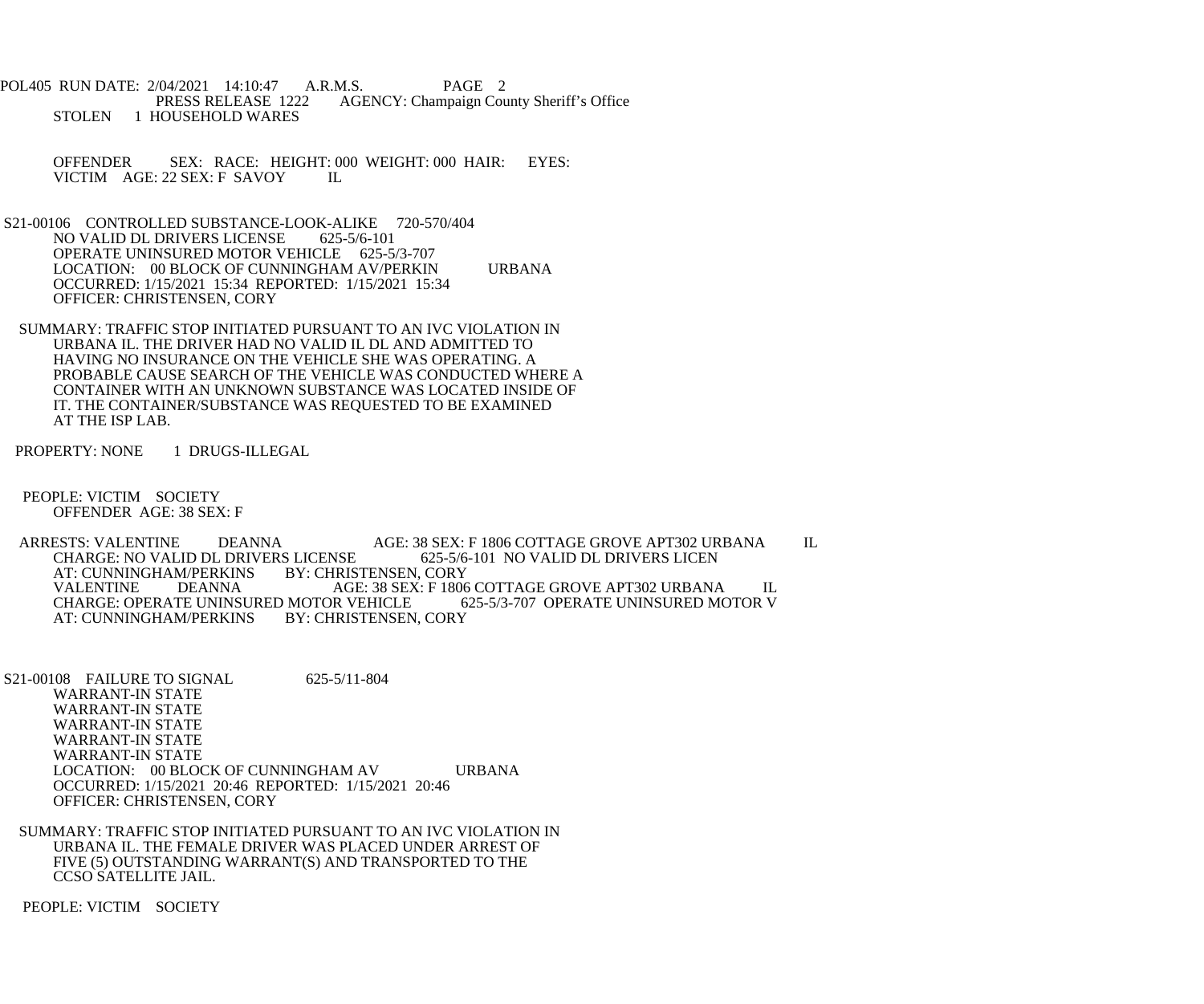POL405 RUN DATE: 2/04/2021 14:10:47 A.R.M.S. PAGE 2<br>PRESS RELEASE 1222 AGENCY: Champaign Cou AGENCY: Champaign County Sheriff's Office STOLEN 1 HOUSEHOLD WARES

 OFFENDER SEX: RACE: HEIGHT: 000 WEIGHT: 000 HAIR: EYES: VICTIM AGE: 22 SEX: F SAVOY IL

S21-00106 CONTROLLED SUBSTANCE-LOOK-ALIKE 720-570/404<br>NO VALID DL DRIVERS LICENSE 625-5/6-101 NO VALID DL DRIVERS LICENSE OPERATE UNINSURED MOTOR VEHICLE 625-5/3-707 LOCATION: 00 BLOCK OF CUNNINGHAM AV/PERKIN URBANA OCCURRED: 1/15/2021 15:34 REPORTED: 1/15/2021 15:34 OFFICER: CHRISTENSEN, CORY

 SUMMARY: TRAFFIC STOP INITIATED PURSUANT TO AN IVC VIOLATION IN URBANA IL. THE DRIVER HAD NO VALID IL DL AND ADMITTED TO HAVING NO INSURANCE ON THE VEHICLE SHE WAS OPERATING. A PROBABLE CAUSE SEARCH OF THE VEHICLE WAS CONDUCTED WHERE A CONTAINER WITH AN UNKNOWN SUBSTANCE WAS LOCATED INSIDE OF IT. THE CONTAINER/SUBSTANCE WAS REQUESTED TO BE EXAMINED AT THE ISP LAB.

PROPERTY: NONE 1 DRUGS-ILLEGAL

 PEOPLE: VICTIM SOCIETY OFFENDER AGE: 38 SEX: F

ARRESTS: VALENTINE DEANNA AGE: 38 SEX: F 1806 COTTAGE GROVE APT302 URBANA IL<br>CHARGE: NO VALID DL DRIVERS LICENSE 625-5/6-101 NO VALID DL DRIVERS LICEN CHARGE: NO VALID DL DRIVERS LICENSE 625-5/6-<br>AT: CUNNINGHAM/PERKINS BY: CHRISTENSEN, CORY AT: CUNNINGHAM/PERKINS BY: CHRISTENSEN, CORY AGE: 38 SEX: F 1806 COTTAGE GROVE APT302 URBANA IL R VEHICLE 625-5/3-707 OPERATE UNINSURED MOTOR V CHARGE: OPERATE UNINSURED MOTOR VEHICLE 65<br>AT: CUNNINGHAM/PERKINS BY: CHRISTENSEN, CORY AT: CUNNINGHAM/PERKINS

S21-00108 FAILURE TO SIGNAL 625-5/11-804 WARRANT-IN STATE WARRANT-IN STATE WARRANT-IN STATE WARRANT-IN STATE WARRANT-IN STATE LOCATION: 00 BLOCK OF CUNNINGHAM AV URBANA OCCURRED: 1/15/2021 20:46 REPORTED: 1/15/2021 20:46 OFFICER: CHRISTENSEN, CORY

 SUMMARY: TRAFFIC STOP INITIATED PURSUANT TO AN IVC VIOLATION IN URBANA IL. THE FEMALE DRIVER WAS PLACED UNDER ARREST OF FIVE (5) OUTSTANDING WARRANT(S) AND TRANSPORTED TO THE CCSO SATELLITE JAIL.

PEOPLE: VICTIM SOCIETY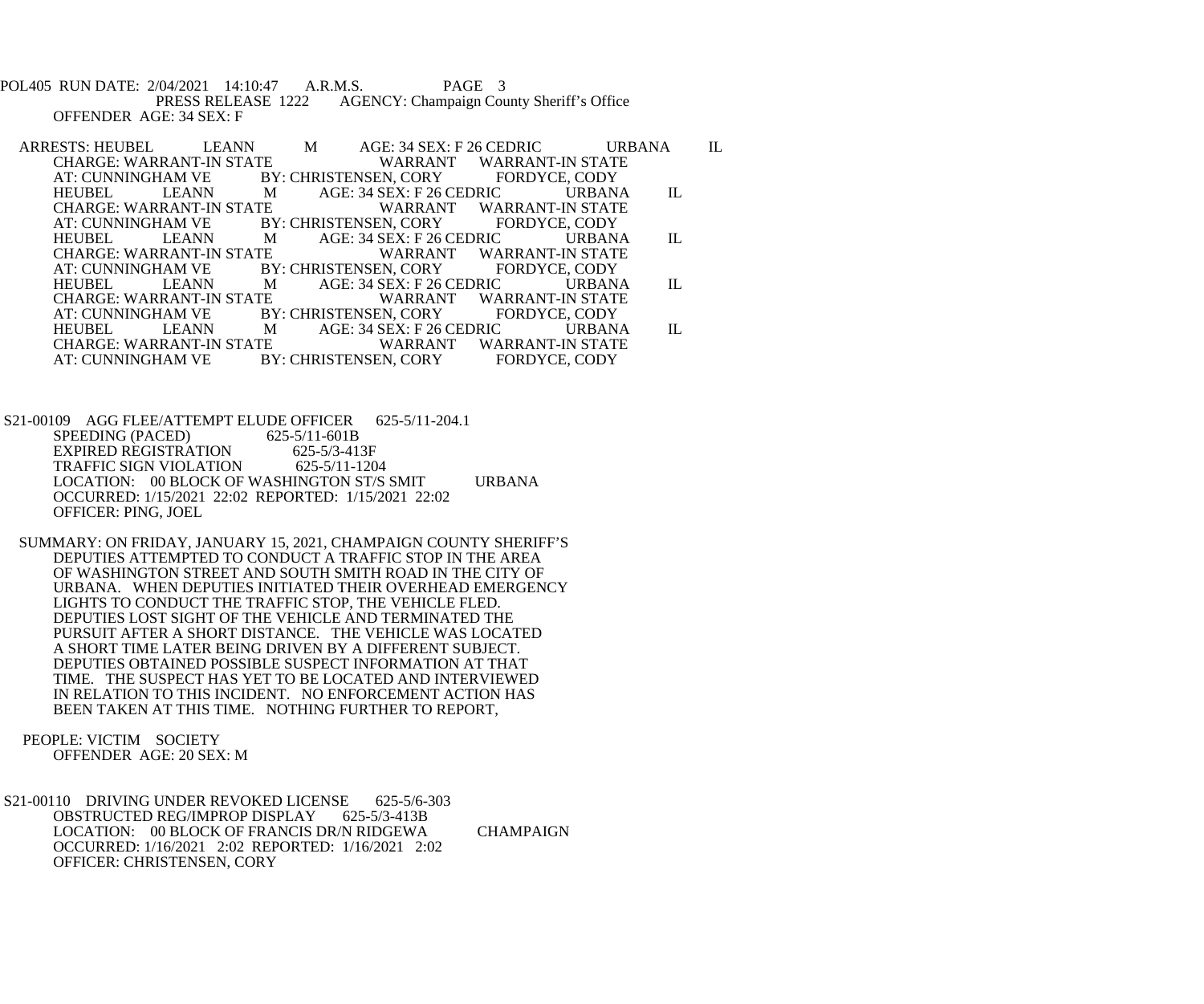POL405 RUN DATE: 2/04/2021 14:10:47 A.R.M.S. PAGE 3<br>PRESS RELEASE 1222 AGENCY: Champaign Cou AGENCY: Champaign County Sheriff's Office OFFENDER AGE: 34 SEX: F

ARRESTS: HEUBEL LEANN M AGE: 34 SEX: F 26 CEDRIC URBANA IL CHARGE: WARRANT WARRANT WARRANT-IN STATE CHARGE: WARRANT-IN STATE WARRANT WARRANT-IN STAT<br>AT: CUNNINGHAM VE BY: CHRISTENSEN, CORY FORDYCE, CODY FIAM VE BY: CHRISTENSEN, CORY<br>LEANN MAGE: 34 SEX: F 26 HEUBEL LEANN M AGE: 34 SEX: F 26 CEDRIC URBANA IL CHARGE: WARRANT-IN STATE WARRANT WARRANT-IN STATE CHARGE: WARRANT-IN STATE WARRANT WARRANT-IN STAT<br>AT: CUNNINGHAM VE BY: CHRISTENSEN, CORY FORDYCE, CODY AT: CUNNINGHAM VE BY: CHRISTENSEN, CORY<br>HEUBEL LEANN MAGE: 34 SEX: F 26 M AGE: 34 SEX: F 26 CEDRIC URBANA IL<br>TE WARRANT WARRANT-IN STATE CHARGE: WARRANT-IN STATE WARRANT WARRANT-IN STAT<br>AT: CUNNINGHAM VE BY: CHRISTENSEN, CORY FORDYCE, CODY BY: CHRISTENSEN, CORY HEUBEL LEANN M AGE: 34 SEX: F 26 CEDRIC URBANA IL CHARGE: WARRANT-IN STATE WARRANT WARRANT-IN STATE CHARGE: WARRANT-IN STATE WARRANT WARRANT-IN STATI<br>AT: CUNNINGHAM VE BY: CHRISTENSEN, CORY FORDYCE, CODY AT: CUNNINGHAM VE BY: CHRISTENSEN, CORY<br>HEUBEL LEANN MAGE: 34 SEX: F 26 M AGE: 34 SEX: F 26 CEDRIC URBANA IL WARRANT WARRANT-IN STATE CHARGE: WARRANT-IN STATE WARRANT WARRANT-IN STAT<br>AT: CUNNINGHAM VE BY: CHRISTENSEN, CORY FORDYCE, CODY BY: CHRISTENSEN, CORY

S21-00109 AGG FLEE/ATTEMPT ELUDE OFFICER 625-5/11-204.1<br>SPEEDING (PACED) 625-5/11-601B SPEEDING (PACED) EXPIRED REGISTRATION 625-5/3-413F<br>TRAFFIC SIGN VIOLATION 625-5/11-1204 TRAFFIC SIGN VIOLATION LOCATION: 00 BLOCK OF WASHINGTON ST/S SMIT URBANA OCCURRED: 1/15/2021 22:02 REPORTED: 1/15/2021 22:02 OFFICER: PING, JOEL

 SUMMARY: ON FRIDAY, JANUARY 15, 2021, CHAMPAIGN COUNTY SHERIFF'S DEPUTIES ATTEMPTED TO CONDUCT A TRAFFIC STOP IN THE AREA OF WASHINGTON STREET AND SOUTH SMITH ROAD IN THE CITY OF URBANA. WHEN DEPUTIES INITIATED THEIR OVERHEAD EMERGENCY LIGHTS TO CONDUCT THE TRAFFIC STOP, THE VEHICLE FLED. DEPUTIES LOST SIGHT OF THE VEHICLE AND TERMINATED THE PURSUIT AFTER A SHORT DISTANCE. THE VEHICLE WAS LOCATED A SHORT TIME LATER BEING DRIVEN BY A DIFFERENT SUBJECT. DEPUTIES OBTAINED POSSIBLE SUSPECT INFORMATION AT THAT TIME. THE SUSPECT HAS YET TO BE LOCATED AND INTERVIEWED IN RELATION TO THIS INCIDENT. NO ENFORCEMENT ACTION HAS BEEN TAKEN AT THIS TIME. NOTHING FURTHER TO REPORT,

 PEOPLE: VICTIM SOCIETY OFFENDER AGE: 20 SEX: M

S21-00110 DRIVING UNDER REVOKED LICENSE 625-5/6-303<br>OBSTRUCTED REG/IMPROP DISPLAY 625-5/3-413B OBSTRUCTED REG/IMPROP DISPLAY LOCATION: 00 BLOCK OF FRANCIS DR/N RIDGEWA CHAMPAIGN OCCURRED: 1/16/2021 2:02 REPORTED: 1/16/2021 2:02 OFFICER: CHRISTENSEN, CORY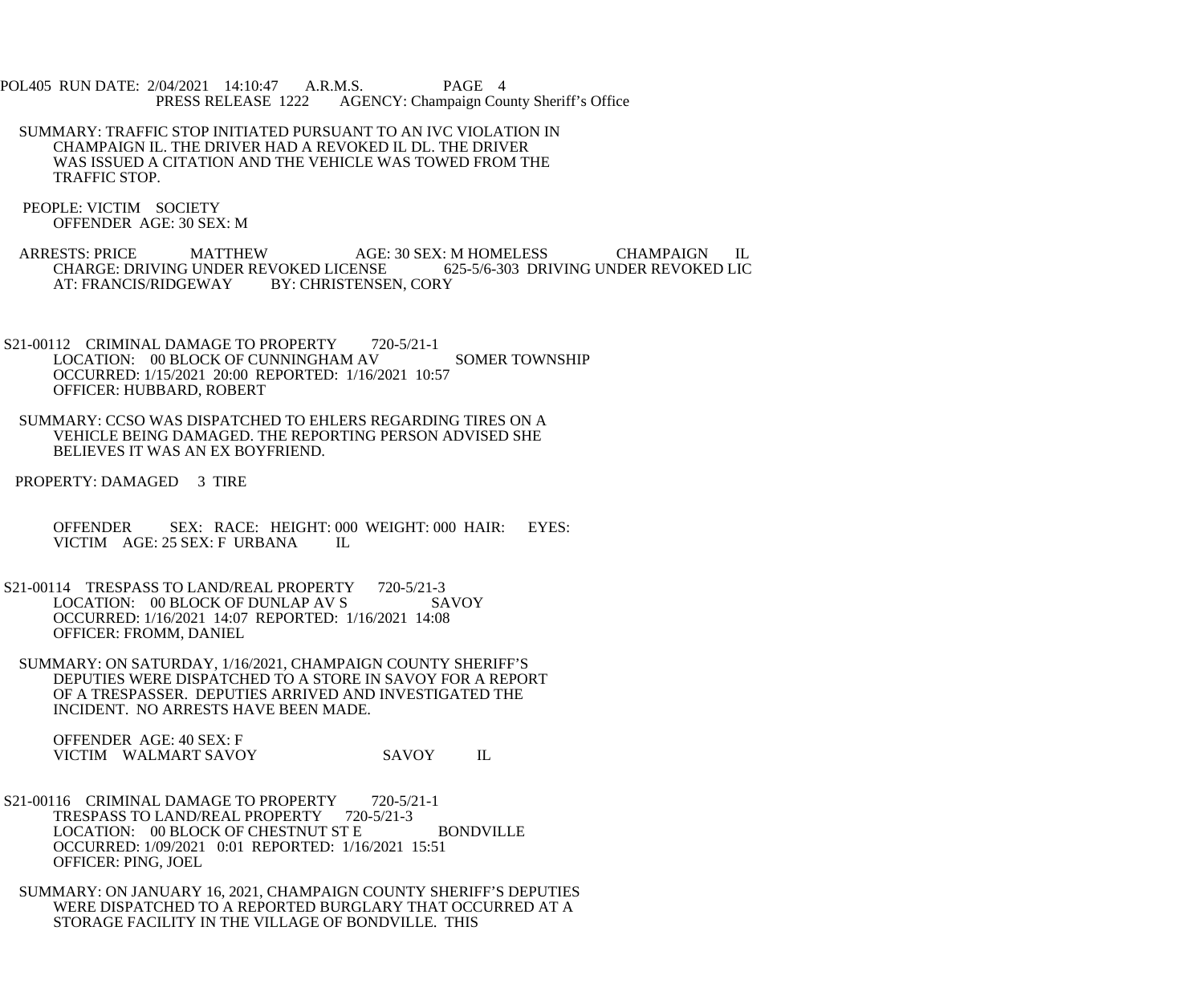- POL405 RUN DATE: 2/04/2021 14:10:47 A.R.M.S. PAGE 4<br>PRESS RELEASE 1222 AGENCY: Champaign Cou AGENCY: Champaign County Sheriff's Office
	- SUMMARY: TRAFFIC STOP INITIATED PURSUANT TO AN IVC VIOLATION IN CHAMPAIGN IL. THE DRIVER HAD A REVOKED IL DL. THE DRIVER WAS ISSUED A CITATION AND THE VEHICLE WAS TOWED FROM THE TRAFFIC STOP.
	- PEOPLE: VICTIM SOCIETY OFFENDER AGE: 30 SEX: M
	- ARRESTS: PRICE MATTHEW AGE: 30 SEX: M HOMELESS CHAMPAIGN IL CHARGE: DRIVING UNDER REVOKED LICENSE 625-5/6-303 DRIVING UNDER REVOKED LIC CHARGE: DRIVING UNDER REVOKED LICENSE<br>AT: FRANCIS/RIDGEWAY BY: CHRISTENSE BY: CHRISTENSEN, CORY
- S21-00112 CRIMINAL DAMAGE TO PROPERTY 720-5/21-1 LOCATION: 00 BLOCK OF CUNNINGHAM AV SOMER TOWNSHIP OCCURRED: 1/15/2021 20:00 REPORTED: 1/16/2021 10:57 OFFICER: HUBBARD, ROBERT
- SUMMARY: CCSO WAS DISPATCHED TO EHLERS REGARDING TIRES ON A VEHICLE BEING DAMAGED. THE REPORTING PERSON ADVISED SHE BELIEVES IT WAS AN EX BOYFRIEND.
- PROPERTY: DAMAGED 3 TIRE
	- OFFENDER SEX: RACE: HEIGHT: 000 WEIGHT: 000 HAIR: EYES:<br>VICTIM AGE: 25 SEX: F URBANA IL VICTIM AGE: 25 SEX: F URBANA
- S21-00114 TRESPASS TO LAND/REAL PROPERTY 720-5/21-3 LOCATION: 00 BLOCK OF DUNLAP AV S SAVOY OCCURRED: 1/16/2021 14:07 REPORTED: 1/16/2021 14:08 OFFICER: FROMM, DANIEL
- SUMMARY: ON SATURDAY, 1/16/2021, CHAMPAIGN COUNTY SHERIFF'S DEPUTIES WERE DISPATCHED TO A STORE IN SAVOY FOR A REPORT OF A TRESPASSER. DEPUTIES ARRIVED AND INVESTIGATED THE INCIDENT. NO ARRESTS HAVE BEEN MADE.

 OFFENDER AGE: 40 SEX: F VICTIM WALMART SAVOY SAVOY IL

- S21-00116 CRIMINAL DAMAGE TO PROPERTY 720-5/21-1 TRESPASS TO LAND/REAL PROPERTY 720-5/21-3 LOCATION: 00 BLOCK OF CHESTNUT ST E BONDVILLE OCCURRED: 1/09/2021 0:01 REPORTED: 1/16/2021 15:51 OFFICER: PING, JOEL
- SUMMARY: ON JANUARY 16, 2021, CHAMPAIGN COUNTY SHERIFF'S DEPUTIES WERE DISPATCHED TO A REPORTED BURGLARY THAT OCCURRED AT A STORAGE FACILITY IN THE VILLAGE OF BONDVILLE. THIS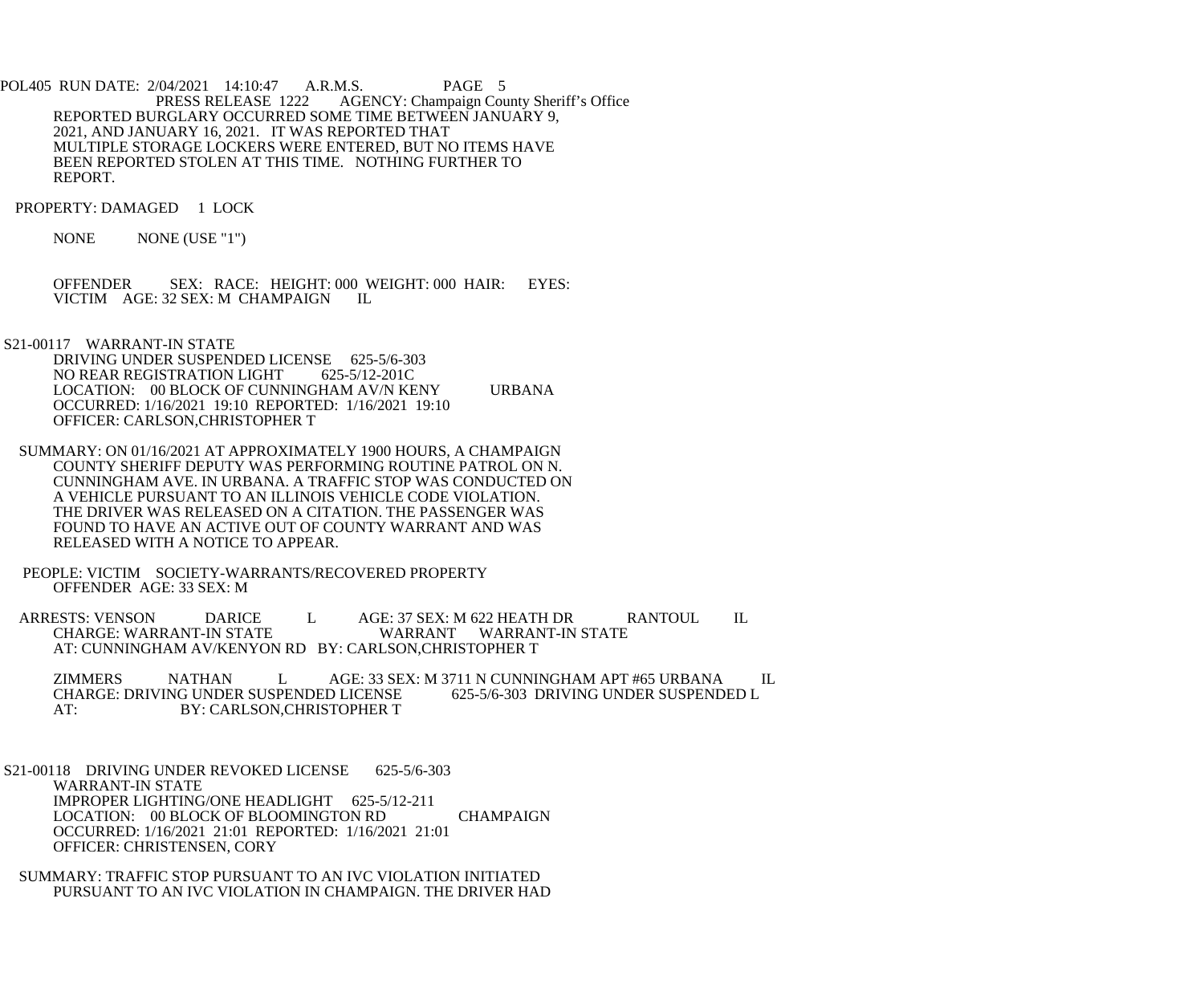POL405 RUN DATE: 2/04/2021 14:10:47 A.R.M.S. PAGE 5<br>PRESS RELEASE 1222 AGENCY: Champaign Cou AGENCY: Champaign County Sheriff's Office REPORTED BURGLARY OCCURRED SOME TIME BETWEEN JANUARY 9, 2021, AND JANUARY 16, 2021. IT WAS REPORTED THAT MULTIPLE STORAGE LOCKERS WERE ENTERED, BUT NO ITEMS HAVE BEEN REPORTED STOLEN AT THIS TIME. NOTHING FURTHER TO REPORT.

PROPERTY: DAMAGED 1 LOCK

NONE NONE (USE "1")

OFFENDER SEX: RACE: HEIGHT: 000 WEIGHT: 000 HAIR: EYES:<br>VICTIM AGE: 32 SEX: M CHAMPAIGN II. VICTIM AGE: 32 SEX: M CHAMPAIGN

S21-00117 WARRANT-IN STATE

DRIVING UNDER SUSPENDED LICENSE 625-5/6-303<br>NO REAR REGISTRATION LIGHT 625-5/12-201C NO REAR REGISTRATION LIGHT LOCATION: 00 BLOCK OF CUNNINGHAM AV/N KENY URBANA OCCURRED: 1/16/2021 19:10 REPORTED: 1/16/2021 19:10 OFFICER: CARLSON,CHRISTOPHER T

 SUMMARY: ON 01/16/2021 AT APPROXIMATELY 1900 HOURS, A CHAMPAIGN COUNTY SHERIFF DEPUTY WAS PERFORMING ROUTINE PATROL ON N. CUNNINGHAM AVE. IN URBANA. A TRAFFIC STOP WAS CONDUCTED ON A VEHICLE PURSUANT TO AN ILLINOIS VEHICLE CODE VIOLATION. THE DRIVER WAS RELEASED ON A CITATION. THE PASSENGER WAS FOUND TO HAVE AN ACTIVE OUT OF COUNTY WARRANT AND WAS RELEASED WITH A NOTICE TO APPEAR.

 PEOPLE: VICTIM SOCIETY-WARRANTS/RECOVERED PROPERTY OFFENDER AGE: 33 SEX: M

ARRESTS: VENSON DARICE L AGE: 37 SEX: M 622 HEATH DR RANTOUL IL CHARGE: WARRANT-IN STATE WARRANT WARRANT-IN STATE AT: CUNNINGHAM AV/KENYON RD BY: CARLSON,CHRISTOPHER T

ZIMMERS NATHAN LAGE: 33 SEX: M 3711 N CUNNINGHAM APT #65 URBANA IL<br>CHARGE: DRIVING UNDER SUSPENDED LICENSE 625-5/6-303 DRIVING UNDER SUSPENDED L CHARGE: DRIVING UNDER SUSPENDED LICENSE<br>AT: 625-503 BY: CARLSON.CHRISTOPHER T BY: CARLSON, CHRISTOPHER T

 S21-00118 DRIVING UNDER REVOKED LICENSE 625-5/6-303 WARRANT-IN STATE IMPROPER LIGHTING/ONE HEADLIGHT 625-5/12-211 LOCATION: 00 BLOCK OF BLOOMINGTON RD CHAMPAIGN OCCURRED: 1/16/2021 21:01 REPORTED: 1/16/2021 21:01 OFFICER: CHRISTENSEN, CORY

 SUMMARY: TRAFFIC STOP PURSUANT TO AN IVC VIOLATION INITIATED PURSUANT TO AN IVC VIOLATION IN CHAMPAIGN. THE DRIVER HAD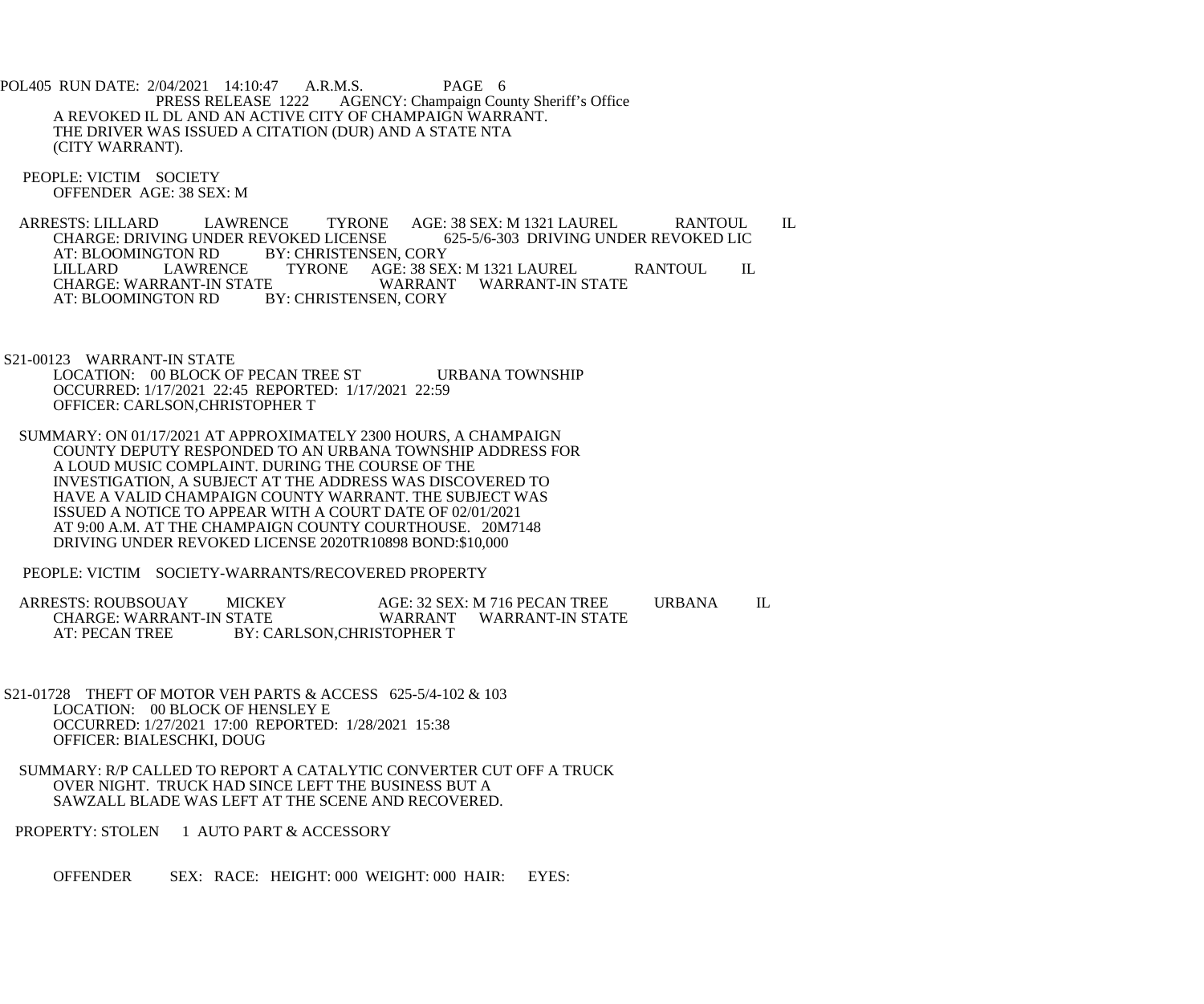POL405 RUN DATE: 2/04/2021 14:10:47 A.R.M.S. PAGE 6<br>PRESS RELEASE 1222 AGENCY: Champaign Cou AGENCY: Champaign County Sheriff's Office A REVOKED IL DL AND AN ACTIVE CITY OF CHAMPAIGN WARRANT. THE DRIVER WAS ISSUED A CITATION (DUR) AND A STATE NTA (CITY WARRANT).

 PEOPLE: VICTIM SOCIETY OFFENDER AGE: 38 SEX: M

ARRESTS: LILLARD LAWRENCE TYRONE AGE: 38 SEX: M 1321 LAUREL RANTOUL IL<br>CHARGE: DRIVING UNDER REVOKED LICENSE 625-5/6-303 DRIVING UNDER REVOKED LIC CHARGE: DRIVING UNDER REVOKED LICENSE<br>AT: BLOOMINGTON RD BY: CHRISTENSEN FTON RD BY: CHRISTENSEN, CORY<br>LAWRENCE TYRONE AGE: 38 SE LILLARD LAWRENCE TYRONE AGE: 38 SEX: M 1321 LAUREL RANTOUL IL<br>CHARGE: WARRANT-IN STATE WARRANT WARRANT-IN STATE CHARGE: WARRANT-IN STATE<br>AT: BLOOMINGTON RD BY: CHRISTENSEN, CORY

 S21-00123 WARRANT-IN STATE LOCATION: 00 BLOCK OF PECAN TREE ST URBANA TOWNSHIP OCCURRED: 1/17/2021 22:45 REPORTED: 1/17/2021 22:59 OFFICER: CARLSON,CHRISTOPHER T

 SUMMARY: ON 01/17/2021 AT APPROXIMATELY 2300 HOURS, A CHAMPAIGN COUNTY DEPUTY RESPONDED TO AN URBANA TOWNSHIP ADDRESS FOR A LOUD MUSIC COMPLAINT. DURING THE COURSE OF THE INVESTIGATION, A SUBJECT AT THE ADDRESS WAS DISCOVERED TO HAVE A VALID CHAMPAIGN COUNTY WARRANT. THE SUBJECT WAS ISSUED A NOTICE TO APPEAR WITH A COURT DATE OF 02/01/2021 AT 9:00 A.M. AT THE CHAMPAIGN COUNTY COURTHOUSE. 20M7148 DRIVING UNDER REVOKED LICENSE 2020TR10898 BOND:\$10,000

PEOPLE: VICTIM SOCIETY-WARRANTS/RECOVERED PROPERTY

 ARRESTS: ROUBSOUAY MICKEY AGE: 32 SEX: M 716 PECAN TREE URBANA IL CHARGE: WARRANT-IN STATE WARRANT WARRANT-IN STATE<br>AT: PECAN TREE BY: CARLSON,CHRISTOPHER T BY: CARLSON, CHRISTOPHER T

- S21-01728 THEFT OF MOTOR VEH PARTS & ACCESS 625-5/4-102 & 103 LOCATION: 00 BLOCK OF HENSLEY E OCCURRED: 1/27/2021 17:00 REPORTED: 1/28/2021 15:38 OFFICER: BIALESCHKI, DOUG
- SUMMARY: R/P CALLED TO REPORT A CATALYTIC CONVERTER CUT OFF A TRUCK OVER NIGHT. TRUCK HAD SINCE LEFT THE BUSINESS BUT A SAWZALL BLADE WAS LEFT AT THE SCENE AND RECOVERED.
- PROPERTY: STOLEN 1 AUTO PART & ACCESSORY

OFFENDER SEX: RACE: HEIGHT: 000 WEIGHT: 000 HAIR: EYES: